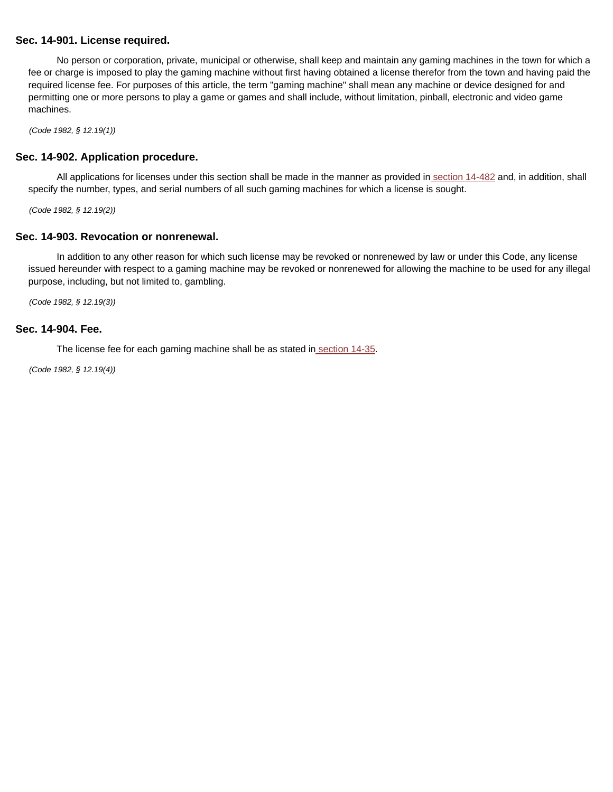#### **Sec. 14-901. License required.**

No person or corporation, private, municipal or otherwise, shall keep and maintain any gaming machines in the town for which a fee or charge is imposed to play the gaming machine without first having obtained a license therefor from the town and having paid the required license fee. For purposes of this article, the term "gaming machine" shall mean any machine or device designed for and permitting one or more persons to play a game or games and shall include, without limitation, pinball, electronic and video game machines.

(Code 1982, § 12.19(1))

#### **Sec. 14-902. Application procedure.**

All applications for licenses under this section shall be made in the manner as provided in section 14-482 and, in addition, shall specify the number, types, and serial numbers of all such gaming machines for which a license is sought.

(Code 1982, § 12.19(2))

### **Sec. 14-903. Revocation or nonrenewal.**

In addition to any other reason for which such license may be revoked or nonrenewed by law or under this Code, any license issued hereunder with respect to a gaming machine may be revoked or nonrenewed for allowing the machine to be used for any illegal purpose, including, but not limited to, gambling.

(Code 1982, § 12.19(3))

#### **Sec. 14-904. Fee.**

The license fee for each gaming machine shall be as stated in section 14-35.

(Code 1982, § 12.19(4))